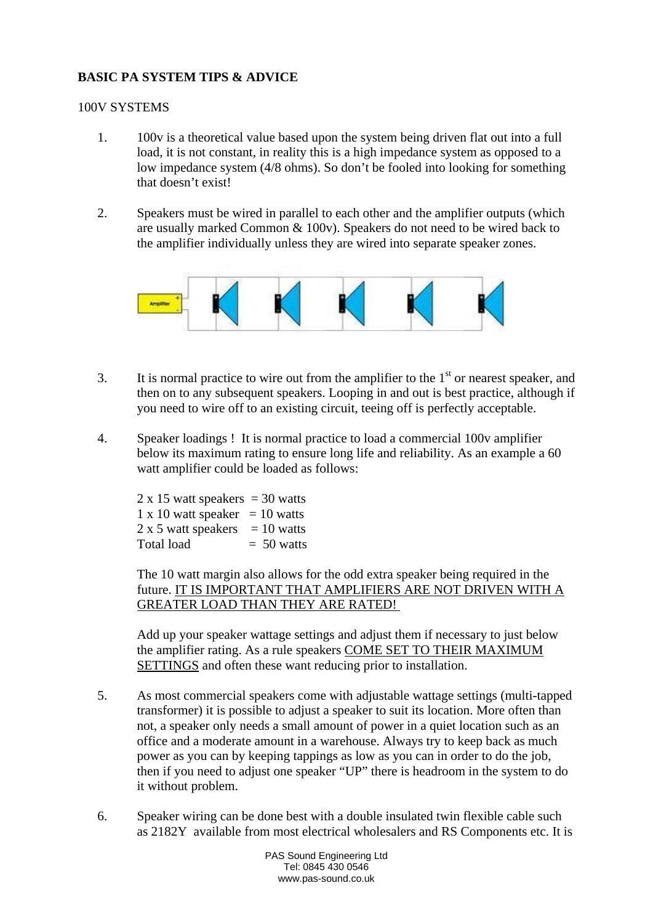## **BASIC PA SYSTEM TIPS & ADVICE**

## 100V SYSTEMS

- 1. 100v is a theoretical value based upon the system being driven flat out into a full load, it is not constant, in reality this is a high impedance system as opposed to a low impedance system (4/8 ohms). So don't be fooled into looking for something that doesn't exist!
- 2. Speakers must be wired in parallel to each other and the amplifier outputs (which are usually marked Common & 100v). Speakers do not need to be wired back to the amplifier individually unless they are wired into separate speaker zones.



- 3. It is normal practice to wire out from the amplifier to the  $1<sup>st</sup>$  or nearest speaker, and then on to any subsequent speakers. Looping in and out is best practice, although if you need to wire off to an existing circuit, teeing off is perfectly acceptable.
- 4. Speaker loadings ! It is normal practice to load a commercial 100v amplifier below its maximum rating to ensure long life and reliability. As an example a 60 watt amplifier could be loaded as follows:

 $2 \times 15$  watt speakers = 30 watts  $1 \times 10$  watt speaker = 10 watts  $2 \times 5$  watt speakers = 10 watts Total load  $= 50$  watts

The 10 watt margin also allows for the odd extra speaker being required in the future. IT IS IMPORTANT THAT AMPLIFIERS ARE NOT DRIVEN WITH A GREATER LOAD THAN THEY ARE RATED!

Add up your speaker wattage settings and adjust them if necessary to just below the amplifier rating. As a rule speakers COME SET TO THEIR MAXIMUM SETTINGS and often these want reducing prior to installation.

- 5. As most commercial speakers come with adjustable wattage settings (multi-tapped transformer) it is possible to adjust a speaker to suit its location. More often than not, a speaker only needs a small amount of power in a quiet location such as an office and a moderate amount in a warehouse. Always try to keep back as much power as you can by keeping tappings as low as you can in order to do the job, then if you need to adjust one speaker "UP" there is headroom in the system to do it without problem.
- 6. Speaker wiring can be done best with a double insulated twin flexible cable such as 2182Y available from most electrical wholesalers and RS Components etc. It is